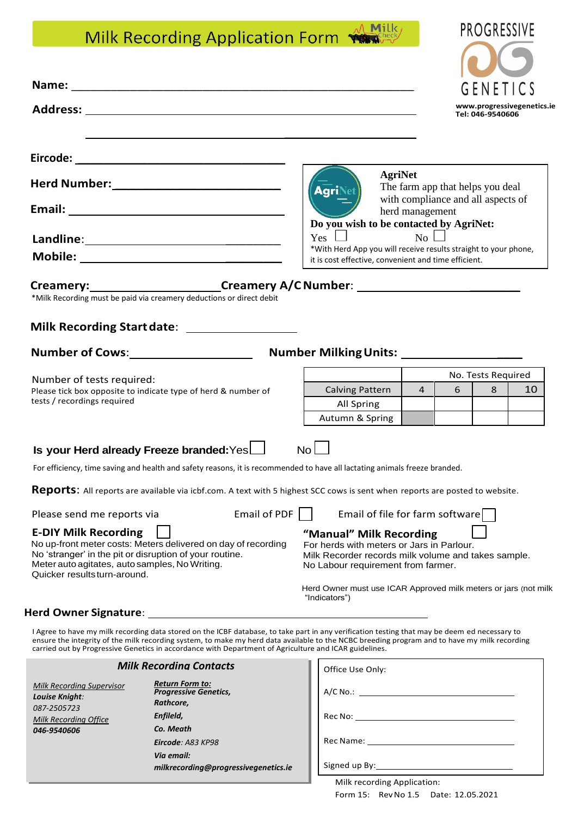# $\wedge$  Milk Milk Recording Application Form

|                                                                                                                                                                                                                                          |              |                                                                                                                                                                   |                 |                                    | GENETICS         |                            |  |
|------------------------------------------------------------------------------------------------------------------------------------------------------------------------------------------------------------------------------------------|--------------|-------------------------------------------------------------------------------------------------------------------------------------------------------------------|-----------------|------------------------------------|------------------|----------------------------|--|
|                                                                                                                                                                                                                                          |              |                                                                                                                                                                   |                 |                                    | Tel: 046-9540606 | www.progressivegenetics.ie |  |
|                                                                                                                                                                                                                                          |              |                                                                                                                                                                   |                 |                                    |                  |                            |  |
| <b>Herd Number:______________________________</b>                                                                                                                                                                                        |              | <b>AgriNe</b>                                                                                                                                                     | <b>AgriNet</b>  | The farm app that helps you deal   |                  |                            |  |
|                                                                                                                                                                                                                                          |              | Do you wish to be contacted by AgriNet:                                                                                                                           | herd management | with compliance and all aspects of |                  |                            |  |
|                                                                                                                                                                                                                                          |              | $\mathcal{L}$<br>Yes                                                                                                                                              |                 | No                                 |                  |                            |  |
|                                                                                                                                                                                                                                          |              | *With Herd App you will receive results straight to your phone,<br>it is cost effective, convenient and time efficient.                                           |                 |                                    |                  |                            |  |
| *Milk Recording must be paid via creamery deductions or direct debit<br>Milk Recording Start date: ___________________<br>Number of Cows: Number Milking Units: Number Milking Units:                                                    |              |                                                                                                                                                                   |                 |                                    |                  |                            |  |
| Number of tests required:                                                                                                                                                                                                                |              |                                                                                                                                                                   |                 | No. Tests Required                 |                  |                            |  |
| Please tick box opposite to indicate type of herd & number of                                                                                                                                                                            |              | <b>Calving Pattern</b>                                                                                                                                            |                 | $\overline{4}$<br>6                | 8                | 10                         |  |
| tests / recordings required                                                                                                                                                                                                              |              | All Spring<br>Autumn & Spring                                                                                                                                     |                 |                                    |                  |                            |  |
| Is your Herd already Freeze branded: Yes                                                                                                                                                                                                 |              | No <sub>1</sub>                                                                                                                                                   |                 |                                    |                  |                            |  |
| For efficiency, time saving and health and safety reasons, it is recommended to have all lactating animals freeze branded.                                                                                                               |              |                                                                                                                                                                   |                 |                                    |                  |                            |  |
| <b>Reports:</b> All reports are available via icbf.com. A text with 5 highest SCC cows is sent when reports are posted to website.                                                                                                       |              |                                                                                                                                                                   |                 |                                    |                  |                            |  |
| Please send me reports via                                                                                                                                                                                                               | Email of PDF |                                                                                                                                                                   |                 | Email of file for farm software    |                  |                            |  |
| <b>E-DIY Milk Recording</b><br>No up-front meter costs: Meters delivered on day of recording<br>No 'stranger' in the pit or disruption of your routine.<br>Meter auto agitates, auto samples, No Writing.<br>Quicker resultsturn-around. |              | "Manual" Milk Recording<br>For herds with meters or Jars in Parlour.<br>Milk Recorder records milk volume and takes sample.<br>No Labour requirement from farmer. |                 |                                    |                  |                            |  |
|                                                                                                                                                                                                                                          |              | Herd Owner must use ICAR Approved milk meters or jars (not milk                                                                                                   |                 |                                    |                  |                            |  |

# **Herd Owner Signature**:

I Agree to have my milk recording data stored on the ICBF database, to take part in any verification testing that may be deem ed necessary to ensure the integrity of the milk recording system, to make my herd data available to the NCBC breeding program and to have my milk recording carried out by Progressive Genetics in accordance with Department of Agriculture and ICAR guidelines.

"Indicators")

| <b>Milk Recording Supervisor</b> |
|----------------------------------|
| Louise Knight:                   |
| 087-2505723                      |
| <b>Milk Recording Office</b>     |
| 046-9540606                      |
|                                  |

# *Milk Recording Contacts Return Form to: Progressive Genetics, Rathcore, Enfileld, Co. Meath Eircode: A83 KP98 Via email: milkrecording@progressivegenetics.ie*

| Office Use Only:       |  |
|------------------------|--|
|                        |  |
| Rec No: ______________ |  |
| Rec Name: ___________  |  |
|                        |  |

**PROGRESSIVE** 

**CONTRACTOR**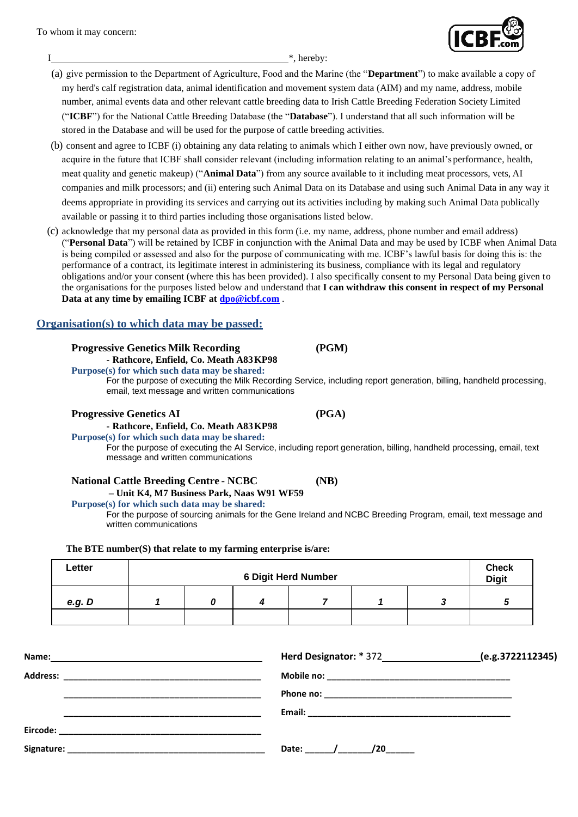To whom it may concern:

I  $*$ , hereby:

- (a) give permission to the Department of Agriculture, Food and the Marine (the "**Department**") to make available a copy of my herd's calf registration data, animal identification and movement system data (AIM) and my name, address, mobile number, animal events data and other relevant cattle breeding data to Irish Cattle Breeding Federation Society Limited ("**ICBF**") for the National Cattle Breeding Database (the "**Database**"). I understand that all such information will be stored in the Database and will be used for the purpose of cattle breeding activities.
- (b) consent and agree to ICBF (i) obtaining any data relating to animals which I either own now, have previously owned, or acquire in the future that ICBF shall consider relevant (including information relating to an animal's performance, health, meat quality and genetic makeup) ("**Animal Data**") from any source available to it including meat processors, vets, AI companies and milk processors; and (ii) entering such Animal Data on its Database and using such Animal Data in any way it deems appropriate in providing its services and carrying out its activities including by making such Animal Data publically available or passing it to third parties including those organisations listed below.
- (c) acknowledge that my personal data as provided in this form (i.e. my name, address, phone number and email address) ("**Personal Data**") will be retained by ICBF in conjunction with the Animal Data and may be used by ICBF when Animal Data is being compiled or assessed and also for the purpose of communicating with me. ICBF's lawful basis for doing this is: the performance of a contract, its legitimate interest in administering its business, compliance with its legal and regulatory obligations and/or your consent (where this has been provided). I also specifically consent to my Personal Data being given to the organisations for the purposes listed below and understand that **I can withdraw this consent in respect of my Personal Data at any time by emailing ICBF at [dpo@icbf.com](mailto:dpo@icbf.com)** .

# **Organisation(s) to which data may be passed:**

# **Progressive Genetics Milk Recording (PGM)**

**- Rathcore, Enfield, Co. Meath A83KP98**

**Purpose(s) for which such data may be shared:**

For the purpose of executing the Milk Recording Service, including report generation, billing, handheld processing, email, text message and written communications

## **Progressive Genetics AI (PGA)**

**- Rathcore, Enfield, Co. Meath A83KP98**

**Purpose(s) for which such data may be shared:**

For the purpose of executing the AI Service, including report generation, billing, handheld processing, email, text message and written communications

### **National Cattle Breeding Centre - NCBC (NB)**

#### **– Unit K4, M7 Business Park, Naas W91 WF59 Purpose(s) for which such data may be shared:**

For the purpose of sourcing animals for the Gene Ireland and NCBC Breeding Program, email, text message and written communications

### **The BTE number(S) that relate to my farming enterprise is/are:**

| Letter | <b>6 Digit Herd Number</b> |  |  | <b>Check</b><br><b>Digit</b> |  |  |
|--------|----------------------------|--|--|------------------------------|--|--|
| e.g. D |                            |  |  |                              |  |  |
|        |                            |  |  |                              |  |  |

|                 |                  | (e.g.3722112345) |
|-----------------|------------------|------------------|
| <b>Address:</b> |                  |                  |
|                 |                  |                  |
|                 |                  |                  |
| Eircode:        |                  |                  |
| Signature:      | Date:<br>/20____ |                  |